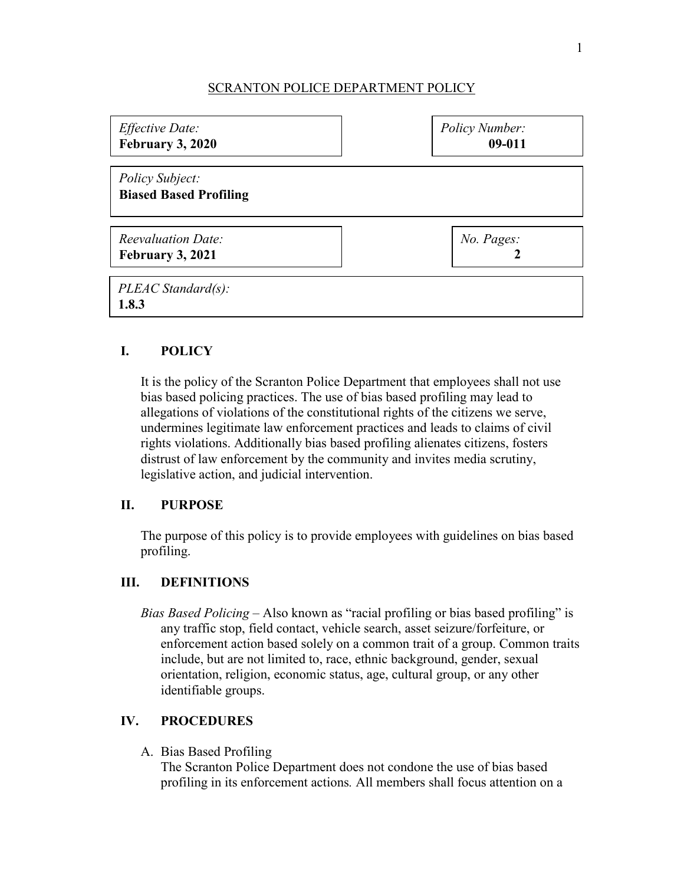### SCRANTON POLICE DEPARTMENT POLICY

| Effective Date:                                  | <b>Policy Number:</b> |
|--------------------------------------------------|-----------------------|
| February 3, 2020                                 | $09 - 011$            |
| Policy Subject:<br><b>Biased Based Profiling</b> |                       |
| Reevaluation Date:                               | No. Pages:            |
| February 3, 2021                                 | 2                     |
| PLEAC Standard(s):<br>1.8.3                      |                       |

# **I. POLICY**

It is the policy of the Scranton Police Department that employees shall not use bias based policing practices. The use of bias based profiling may lead to allegations of violations of the constitutional rights of the citizens we serve, undermines legitimate law enforcement practices and leads to claims of civil rights violations. Additionally bias based profiling alienates citizens, fosters distrust of law enforcement by the community and invites media scrutiny, legislative action, and judicial intervention.

## **II. PURPOSE**

The purpose of this policy is to provide employees with guidelines on bias based profiling.

## **III. DEFINITIONS**

*Bias Based Policing* – Also known as "racial profiling or bias based profiling" is any traffic stop, field contact, vehicle search, asset seizure/forfeiture, or enforcement action based solely on a common trait of a group. Common traits include, but are not limited to, race, ethnic background, gender, sexual orientation, religion, economic status, age, cultural group, or any other identifiable groups.

## **IV. PROCEDURES**

A. Bias Based Profiling

The Scranton Police Department does not condone the use of bias based profiling in its enforcement actions*.* All members shall focus attention on a